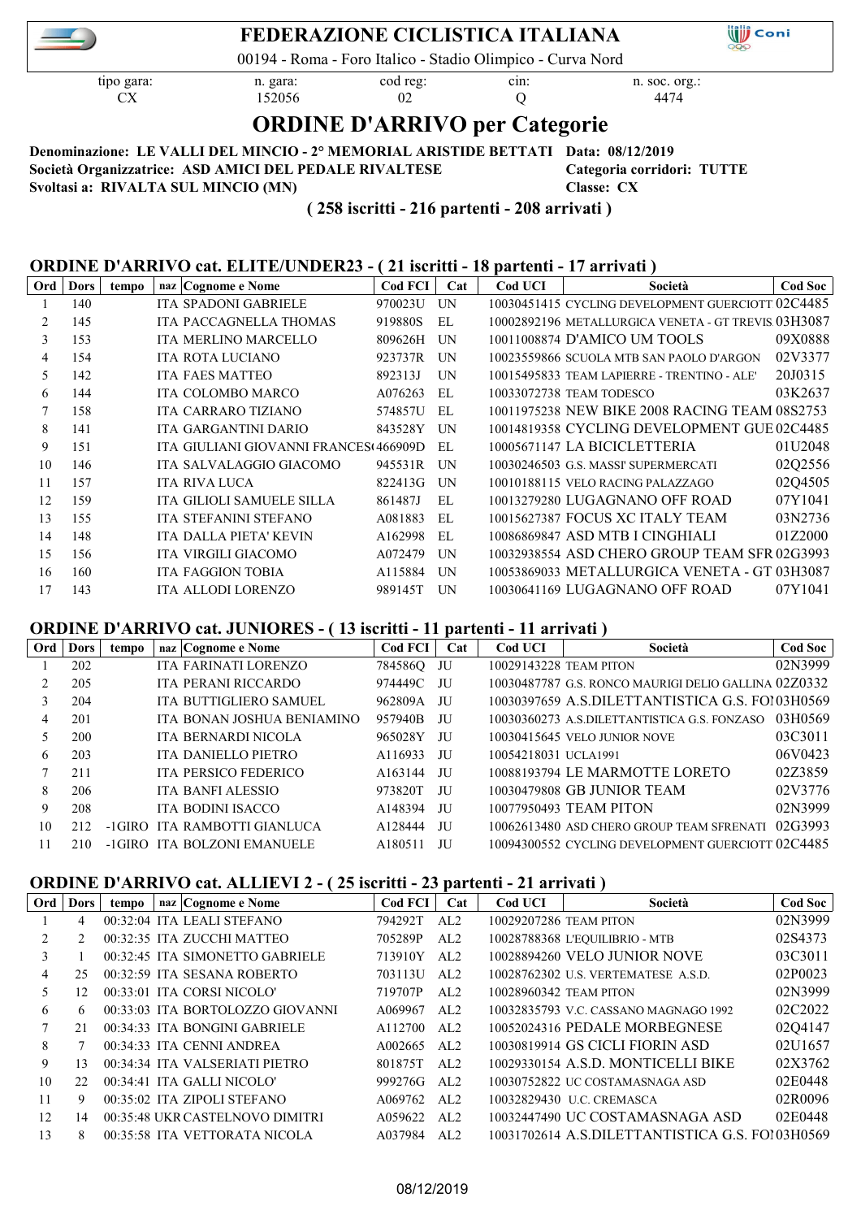

## **FEDERAZIONE CICLISTICA ITALIANA**

00194 - Roma - Foro Italico - Stadio Olimpico - Curva Nord

tipo gara: n. gara: cod reg: cin: n. soc. org.: CX 152056 02 Q 4474

**Will** Coni

# **ORDINE D'ARRIVO per Categorie**

**Denominazione: LE VALLI DEL MINCIO - 2° MEMORIAL ARISTIDE BETTATI Data: 08/12/2019 Società Organizzatrice: ASD AMICI DEL PEDALE RIVALTESE Categoria corridori: TUTTE Svoltasi a: RIVALTA SUL MINCIO (MN) Classe: CX**

 **( 258 iscritti - 216 partenti - 208 arrivati )**

#### **ORDINE D'ARRIVO cat. ELITE/UNDER23 - ( 21 iscritti - 18 partenti - 17 arrivati )**

| Ord | <b>Dors</b> | tempo | naz Cognome e Nome                    | <b>Cod FCI</b> | Cat | Cod UCI | Società                                             | Cod Soc |
|-----|-------------|-------|---------------------------------------|----------------|-----|---------|-----------------------------------------------------|---------|
|     | 140         |       | ITA SPADONI GABRIELE                  | 970023U        | UN  |         | 10030451415 CYCLING DEVELOPMENT GUERCIOTT 02C4485   |         |
| 2   | 145         |       | <b>ITA PACCAGNELLA THOMAS</b>         | 919880S        | EL  |         | 10002892196 METALLURGICA VENETA - GT TREVIS 03H3087 |         |
| 3   | 153         |       | ITA MERLINO MARCELLO                  | 809626H        | UN  |         | 10011008874 D'AMICO UM TOOLS                        | 09X0888 |
| 4   | 154         |       | <b>ITA ROTA LUCIANO</b>               | 923737R        | UN  |         | 10023559866 SCUOLA MTB SAN PAOLO D'ARGON            | 02V3377 |
| 5   | 142         |       | <b>ITA FAES MATTEO</b>                | 892313J        | UN  |         | 10015495833 TEAM LAPIERRE - TRENTINO - ALE'         | 20J0315 |
| 6   | 144         |       | <b>ITA COLOMBO MARCO</b>              | A076263        | EL  |         | 10033072738 TEAM TODESCO                            | 03K2637 |
|     | 158         |       | ITA CARRARO TIZIANO                   | 574857U        | EL  |         | 10011975238 NEW BIKE 2008 RACING TEAM 08S2753       |         |
| 8   | 141         |       | ITA GARGANTINI DARIO                  | 843528Y        | UN  |         | 10014819358 CYCLING DEVELOPMENT GUE 02C4485         |         |
| 9   | 151         |       | ITA GIULIANI GIOVANNI FRANCES(466909D |                | EL  |         | 10005671147 LA BICICLETTERIA                        | 01U2048 |
| 10  | 146         |       | ITA SALVALAGGIO GIACOMO               | 945531R        | UN  |         | 10030246503 G.S. MASSI' SUPERMERCATI                | 02Q2556 |
| 11  | 157         |       | <b>ITA RIVA LUCA</b>                  | 822413G        | UN  |         | 10010188115 VELO RACING PALAZZAGO                   | 02Q4505 |
| 12  | 159         |       | <b>ITA GILIOLI SAMUELE SILLA</b>      | 861487J        | EL  |         | 10013279280 LUGAGNANO OFF ROAD                      | 07Y1041 |
| 13  | 155         |       | ITA STEFANINI STEFANO                 | A081883        | EL  |         | 10015627387 FOCUS XC ITALY TEAM                     | 03N2736 |
| 14  | 148         |       | ITA DALLA PIETA' KEVIN                | A162998        | EL  |         | 10086869847 ASD MTB I CINGHIALI                     | 01Z2000 |
| 15  | 156         |       | ITA VIRGILI GIACOMO                   | A072479        | UN  |         | 10032938554 ASD CHERO GROUP TEAM SFR 02G3993        |         |
| 16  | 160         |       | <b>ITA FAGGION TOBIA</b>              | A115884        | UN  |         | 10053869033 METALLURGICA VENETA - GT 03H3087        |         |
| 17  | 143         |       | ITA ALLODI LORENZO                    | 989145T        | UN  |         | 10030641169 LUGAGNANO OFF ROAD                      | 07Y1041 |

#### **ORDINE D'ARRIVO cat. JUNIORES - ( 13 iscritti - 11 partenti - 11 arrivati )**

| Ord | <b>Dors</b> | tempo  | naz Cognome e Nome          | <b>Cod FCI</b> | Cat  | Cod UCI                | Società                                              | <b>Cod Soc</b> |
|-----|-------------|--------|-----------------------------|----------------|------|------------------------|------------------------------------------------------|----------------|
|     | 202         |        | ITA FARINATI LORENZO        | 784586Q JU     |      | 10029143228 TEAM PITON |                                                      | 02N3999        |
|     | 205         |        | <b>ITA PERANI RICCARDO</b>  | 974449C JU     |      |                        | 10030487787 G.S. RONCO MAURIGI DELIO GALLINA 02Z0332 |                |
| 3   | 204         |        | ITA BUTTIGLIERO SAMUEL      | 962809A        | JU   |                        | 10030397659 A.S.DILETTANTISTICA G.S. FO103H0569      |                |
| 4   | 201         |        | ITA BONAN JOSHUA BENIAMINO  | 957940B        | JU   |                        | 10030360273 A.S.DILETTANTISTICA G.S. FONZASO         | 03H0569        |
|     | 200         |        | ITA BERNARDI NICOLA         | 965028Y        | JU   |                        | 10030415645 VELO JUNIOR NOVE                         | 03C3011        |
| 6.  | 203         |        | ITA DANIELLO PIETRO         | A116933        | JU   | 10054218031 UCLA1991   |                                                      | 06V0423        |
|     | 211         |        | <b>ITA PERSICO FEDERICO</b> | A163144        | JU   |                        | 10088193794 LE MARMOTTE LORETO                       | 02Z3859        |
| 8   | 206         |        | <b>ITA BANFI ALESSIO</b>    | 973820T        | JU   |                        | 10030479808 GB JUNIOR TEAM                           | 02V3776        |
| 9   | 208         |        | <b>ITA BODINI ISACCO</b>    | A148394        | JU   |                        | 10077950493 TEAM PITON                               | 02N3999        |
| 10  |             | -1GIRO | ITA RAMBOTTI GIANLUCA       | A128444        | JU   |                        | 10062613480 ASD CHERO GROUP TEAM SFRENATI            | 02G3993        |
|     | 210         |        | -1GIRO ITA BOLZONI EMANUELE | A180511        | JU J |                        | 10094300552 CYCLING DEVELOPMENT GUERCIOTT 02C4485    |                |

## **ORDINE D'ARRIVO cat. ALLIEVI 2 - ( 25 iscritti - 23 partenti - 21 arrivati )**

| Ord | <b>Dors</b> | tempo | naz Cognome e Nome               | <b>Cod FCI</b> | Cat | Cod UCI                | Società                                         | <b>Cod Soc</b> |
|-----|-------------|-------|----------------------------------|----------------|-----|------------------------|-------------------------------------------------|----------------|
|     | 4           |       | 00:32:04 ITA LEALI STEFANO       | 794292T        | AL2 | 10029207286 TEAM PITON |                                                 | 02N3999        |
| 2   |             |       | 00:32:35 ITA ZUCCHI MATTEO       | 705289P        | AL2 |                        | 10028788368 L'EQUILIBRIO - MTB                  | 02S4373        |
| 3   |             |       | 00:32:45 ITA SIMONETTO GABRIELE  | 713910Y        | AL2 |                        | 10028894260 VELO JUNIOR NOVE                    | 03C3011        |
| 4   | 25          |       | 00:32:59 ITA SESANA ROBERTO      | 703113U        | AL2 |                        | 10028762302 U.S. VERTEMATESE A.S.D.             | 02P0023        |
| 5   | 12.         |       | 00:33:01 ITA CORSI NICOLO'       | 719707P        | AL2 | 10028960342 TEAM PITON |                                                 | 02N3999        |
| 6   | 6           |       | 00:33:03 ITA BORTOLOZZO GIOVANNI | A069967        | AL2 |                        | 10032835793 V.C. CASSANO MAGNAGO 1992           | 02C2022        |
|     | 21          |       | 00:34:33 ITA BONGINI GABRIELE    | A112700        | AL2 |                        | 10052024316 PEDALE MORBEGNESE                   | 0204147        |
| 8   |             |       | 00:34:33 ITA CENNI ANDREA        | A002665        | AL2 |                        | 10030819914 GS CICLI FIORIN ASD                 | 02U1657        |
| 9   | 13          |       | 00:34:34 ITA VALSERIATI PIETRO   | 801875T        | AL2 |                        | 10029330154 A.S.D. MONTICELLI BIKE              | 02X3762        |
| 10  | 22.         |       | 00:34:41 ITA GALLI NICOLO'       | 999276G        | AL2 |                        | 10030752822 UC COSTAMASNAGA ASD                 | 02E0448        |
| 11  | 9           |       | 00:35:02 ITA ZIPOLI STEFANO      | A069762        | AL2 |                        | 10032829430 U.C. CREMASCA                       | 02R0096        |
| 12  | 14          |       | 00:35:48 UKR CASTELNOVO DIMITRI  | A059622        | AL2 |                        | 10032447490 UC COSTAMASNAGA ASD                 | 02E0448        |
| 13  | 8.          |       | 00:35:58 ITA VETTORATA NICOLA    | A037984        | AL2 |                        | 10031702614 A.S.DILETTANTISTICA G.S. FO103H0569 |                |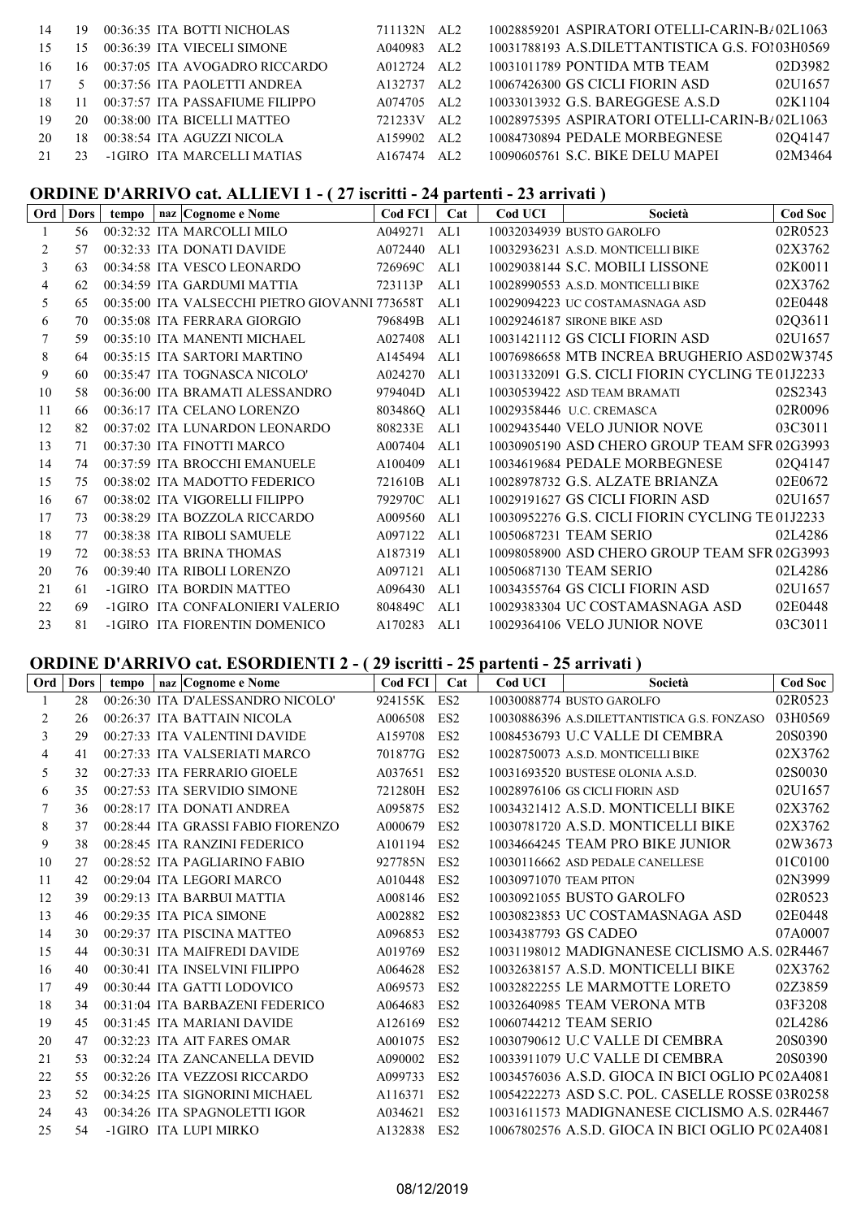| 14 | 19     | 00:36:35 ITA BOTTI NICHOLAS     | 711132N AL2 |      | 10028859201 ASPIRATORI OTELLI-CARIN-B <sub>/</sub> 02L1063 |
|----|--------|---------------------------------|-------------|------|------------------------------------------------------------|
| 15 | 15     | 00:36:39 ITA VIECELI SIMONE     | A040983 AL2 |      | 10031788193 A.S.DILETTANTISTICA G.S. FO103H0569            |
| 16 | 16     | 00:37:05 ITA AVOGADRO RICCARDO  | A012724 AL2 |      | 02D3982<br>10031011789 PONTIDA MTB TEAM                    |
| 17 | $\sim$ | 00:37:56 ITA PAOLETTI ANDREA    | A132737 AL2 |      | 02U1657<br>10067426300 GS CICLI FIORIN ASD                 |
| 18 |        | 00:37:57 ITA PASSAFIUME FILIPPO | A074705 AL2 |      | 02K1104<br>10033013932 G.S. BAREGGESE A.S.D                |
| 19 | 20     | 00:38:00 ITA BICELLI MATTEO     | 721233V AL2 |      | 10028975395 ASPIRATORI OTELLI-CARIN-B/02L1063              |
| 20 | 18     | 00:38:54 ITA AGUZZI NICOLA      | A159902     | AI.2 | 02Q4147<br>10084730894 PEDALE MORBEGNESE                   |
| 21 | 23     | -1GIRO ITA MARCELLI MATIAS      | A167474     | AT.2 | 02M3464<br>10090605761 S.C. BIKE DELU MAPEI                |
|    |        |                                 |             |      |                                                            |

## **ORDINE D'ARRIVO cat. ALLIEVI 1 - ( 27 iscritti - 24 partenti - 23 arrivati )**

| Ord | Dors | tempo | naz Cognome e Nome                             | Cod FCI | Cat | Cod UCI | Società                                          | Cod Soc |
|-----|------|-------|------------------------------------------------|---------|-----|---------|--------------------------------------------------|---------|
|     | 56   |       | 00:32:32 ITA MARCOLLI MILO                     | A049271 | AL1 |         | 10032034939 BUSTO GAROLFO                        | 02R0523 |
| 2   | 57   |       | 00:32:33 ITA DONATI DAVIDE                     | A072440 | AL1 |         | 10032936231 A.S.D. MONTICELLI BIKE               | 02X3762 |
| 3   | 63   |       | 00:34:58 ITA VESCO LEONARDO                    | 726969C | AL1 |         | 10029038144 S.C. MOBILI LISSONE                  | 02K0011 |
| 4   | 62   |       | 00:34:59 ITA GARDUMI MATTIA                    | 723113P | AL1 |         | 10028990553 A.S.D. MONTICELLI BIKE               | 02X3762 |
| 5   | 65   |       | 00:35:00 ITA VALSECCHI PIETRO GIOVANNI 773658T |         | AL1 |         | 10029094223 UC COSTAMASNAGA ASD                  | 02E0448 |
| 6   | 70   |       | 00:35:08 ITA FERRARA GIORGIO                   | 796849B | AL1 |         | 10029246187 SIRONE BIKE ASD                      | 02Q3611 |
|     | 59   |       | 00:35:10 ITA MANENTI MICHAEL                   | A027408 | AL1 |         | 10031421112 GS CICLI FIORIN ASD                  | 02U1657 |
| 8   | 64   |       | 00:35:15 ITA SARTORI MARTINO                   | A145494 | AL1 |         | 10076986658 MTB INCREA BRUGHERIO ASD 02W3745     |         |
| 9   | 60   |       | 00:35:47 ITA TOGNASCA NICOLO'                  | A024270 | AL1 |         | 10031332091 G.S. CICLI FIORIN CYCLING TE 01J2233 |         |
| 10  | 58   |       | 00:36:00 ITA BRAMATI ALESSANDRO                | 979404D | AL1 |         | 10030539422 ASD TEAM BRAMATI                     | 02S2343 |
| 11  | 66   |       | 00:36:17 ITA CELANO LORENZO                    | 803486Q | AL1 |         | 10029358446 U.C. CREMASCA                        | 02R0096 |
| 12  | 82   |       | 00:37:02 ITA LUNARDON LEONARDO                 | 808233E | AL1 |         | 10029435440 VELO JUNIOR NOVE                     | 03C3011 |
| 13  | 71   |       | 00:37:30 ITA FINOTTI MARCO                     | A007404 | AL1 |         | 10030905190 ASD CHERO GROUP TEAM SFR 02G3993     |         |
| 14  | 74   |       | 00:37:59 ITA BROCCHI EMANUELE                  | A100409 | AL1 |         | 10034619684 PEDALE MORBEGNESE                    | 02Q4147 |
| 15  | 75   |       | 00:38:02 ITA MADOTTO FEDERICO                  | 721610B | AL1 |         | 10028978732 G.S. ALZATE BRIANZA                  | 02E0672 |
| 16  | 67   |       | 00:38:02 ITA VIGORELLI FILIPPO                 | 792970C | AL1 |         | 10029191627 GS CICLI FIORIN ASD                  | 02U1657 |
| 17  | 73   |       | 00:38:29 ITA BOZZOLA RICCARDO                  | A009560 | AL1 |         | 10030952276 G.S. CICLI FIORIN CYCLING TE 01J2233 |         |
| 18  | 77   |       | 00:38:38 ITA RIBOLI SAMUELE                    | A097122 | AL1 |         | 10050687231 TEAM SERIO                           | 02L4286 |
| 19  | 72   |       | 00:38:53 ITA BRINA THOMAS                      | A187319 | AL1 |         | 10098058900 ASD CHERO GROUP TEAM SFR 02G3993     |         |
| 20  | 76   |       | 00:39:40 ITA RIBOLI LORENZO                    | A097121 | AL1 |         | 10050687130 TEAM SERIO                           | 02L4286 |
| 21  | 61   |       | -1GIRO ITA BORDIN MATTEO                       | A096430 | AL1 |         | 10034355764 GS CICLI FIORIN ASD                  | 02U1657 |
| 22  | 69   |       | -1GIRO ITA CONFALONIERI VALERIO                | 804849C | AL1 |         | 10029383304 UC COSTAMASNAGA ASD                  | 02E0448 |
| 23  | 81   |       | -1GIRO ITA FIORENTIN DOMENICO                  | A170283 | AL1 |         | 10029364106 VELO JUNIOR NOVE                     | 03C3011 |

## **ORDINE D'ARRIVO cat. ESORDIENTI 2 - ( 29 iscritti - 25 partenti - 25 arrivati )**

| Ord | Dors | tempo | naz Cognome e Nome                 | Cod FCI | Cat             | Cod UCI                | Società                                           | <b>Cod Soc</b> |
|-----|------|-------|------------------------------------|---------|-----------------|------------------------|---------------------------------------------------|----------------|
|     | 28   |       | 00:26:30 ITA D'ALESSANDRO NICOLO'  | 924155K | ES <sub>2</sub> |                        | 10030088774 BUSTO GAROLFO                         | 02R0523        |
| 2   | 26   |       | 00:26:37 ITA BATTAIN NICOLA        | A006508 | ES <sub>2</sub> |                        | 10030886396 A.S.DILETTANTISTICA G.S. FONZASO      | 03H0569        |
| 3   | 29   |       | 00:27:33 ITA VALENTINI DAVIDE      | A159708 | ES <sub>2</sub> |                        | 10084536793 U.C VALLE DI CEMBRA                   | 20S0390        |
| 4   | 41   |       | 00:27:33 ITA VALSERIATI MARCO      | 701877G | ES <sub>2</sub> |                        | 10028750073 A.S.D. MONTICELLI BIKE                | 02X3762        |
| 5   | 32   |       | 00:27:33 ITA FERRARIO GIOELE       | A037651 | ES <sub>2</sub> |                        | 10031693520 BUSTESE OLONIA A.S.D.                 | 02S0030        |
| 6   | 35   |       | 00:27:53 ITA SERVIDIO SIMONE       | 721280H | ES <sub>2</sub> |                        | 10028976106 GS CICLI FIORIN ASD                   | 02U1657        |
| 7   | 36   |       | 00:28:17 ITA DONATI ANDREA         | A095875 | ES <sub>2</sub> |                        | 10034321412 A.S.D. MONTICELLI BIKE                | 02X3762        |
| 8   | 37   |       | 00:28:44 ITA GRASSI FABIO FIORENZO | A000679 | ES <sub>2</sub> |                        | 10030781720 A.S.D. MONTICELLI BIKE                | 02X3762        |
| 9   | 38   |       | 00:28:45 ITA RANZINI FEDERICO      | A101194 | ES <sub>2</sub> |                        | 10034664245 TEAM PRO BIKE JUNIOR                  | 02W3673        |
| 10  | 27   |       | 00:28:52 ITA PAGLIARINO FABIO      | 927785N | ES <sub>2</sub> |                        | 10030116662 ASD PEDALE CANELLESE                  | 01C0100        |
| 11  | 42   |       | 00:29:04 ITA LEGORI MARCO          | A010448 | ES <sub>2</sub> | 10030971070 TEAM PITON |                                                   | 02N3999        |
| 12  | 39   |       | 00:29:13 ITA BARBUI MATTIA         | A008146 | ES <sub>2</sub> |                        | 10030921055 BUSTO GAROLFO                         | 02R0523        |
| 13  | 46   |       | 00:29:35 ITA PICA SIMONE           | A002882 | ES <sub>2</sub> |                        | 10030823853 UC COSTAMASNAGA ASD                   | 02E0448        |
| 14  | 30   |       | 00:29:37 ITA PISCINA MATTEO        | A096853 | ES <sub>2</sub> | 10034387793 GS CADEO   |                                                   | 07A0007        |
| 15  | 44   |       | 00:30:31 ITA MAIFREDI DAVIDE       | A019769 | ES <sub>2</sub> |                        | 10031198012 MADIGNANESE CICLISMO A.S. 02R4467     |                |
| 16  | 40   |       | 00:30:41 ITA INSELVINI FILIPPO     | A064628 | ES <sub>2</sub> |                        | 10032638157 A.S.D. MONTICELLI BIKE                | 02X3762        |
| 17  | 49   |       | 00:30:44 ITA GATTI LODOVICO        | A069573 | ES <sub>2</sub> |                        | 10032822255 LE MARMOTTE LORETO                    | 02Z3859        |
| 18  | 34   |       | 00:31:04 ITA BARBAZENI FEDERICO    | A064683 | ES <sub>2</sub> |                        | 10032640985 TEAM VERONA MTB                       | 03F3208        |
| 19  | 45   |       | 00:31:45 ITA MARIANI DAVIDE        | A126169 | ES <sub>2</sub> |                        | 10060744212 TEAM SERIO                            | 02L4286        |
| 20  | 47   |       | 00:32:23 ITA AIT FARES OMAR        | A001075 | ES <sub>2</sub> |                        | 10030790612 U.C VALLE DI CEMBRA                   | 20S0390        |
| 21  | 53   |       | 00:32:24 ITA ZANCANELLA DEVID      | A090002 | ES <sub>2</sub> |                        | 10033911079 U.C VALLE DI CEMBRA                   | 20S0390        |
| 22  | 55   |       | 00:32:26 ITA VEZZOSI RICCARDO      | A099733 | ES <sub>2</sub> |                        | 10034576036 A.S.D. GIOCA IN BICI OGLIO PC 02A4081 |                |
| 23  | 52   |       | 00:34:25 ITA SIGNORINI MICHAEL     | A116371 | ES <sub>2</sub> |                        | 10054222273 ASD S.C. POL. CASELLE ROSSE 03R0258   |                |
| 24  | 43   |       | 00:34:26 ITA SPAGNOLETTI IGOR      | A034621 | ES <sub>2</sub> |                        | 10031611573 MADIGNANESE CICLISMO A.S. 02R4467     |                |
| 25  | 54   |       | -1GIRO ITA LUPI MIRKO              | A132838 | ES <sub>2</sub> |                        | 10067802576 A.S.D. GIOCA IN BICI OGLIO PC 02A4081 |                |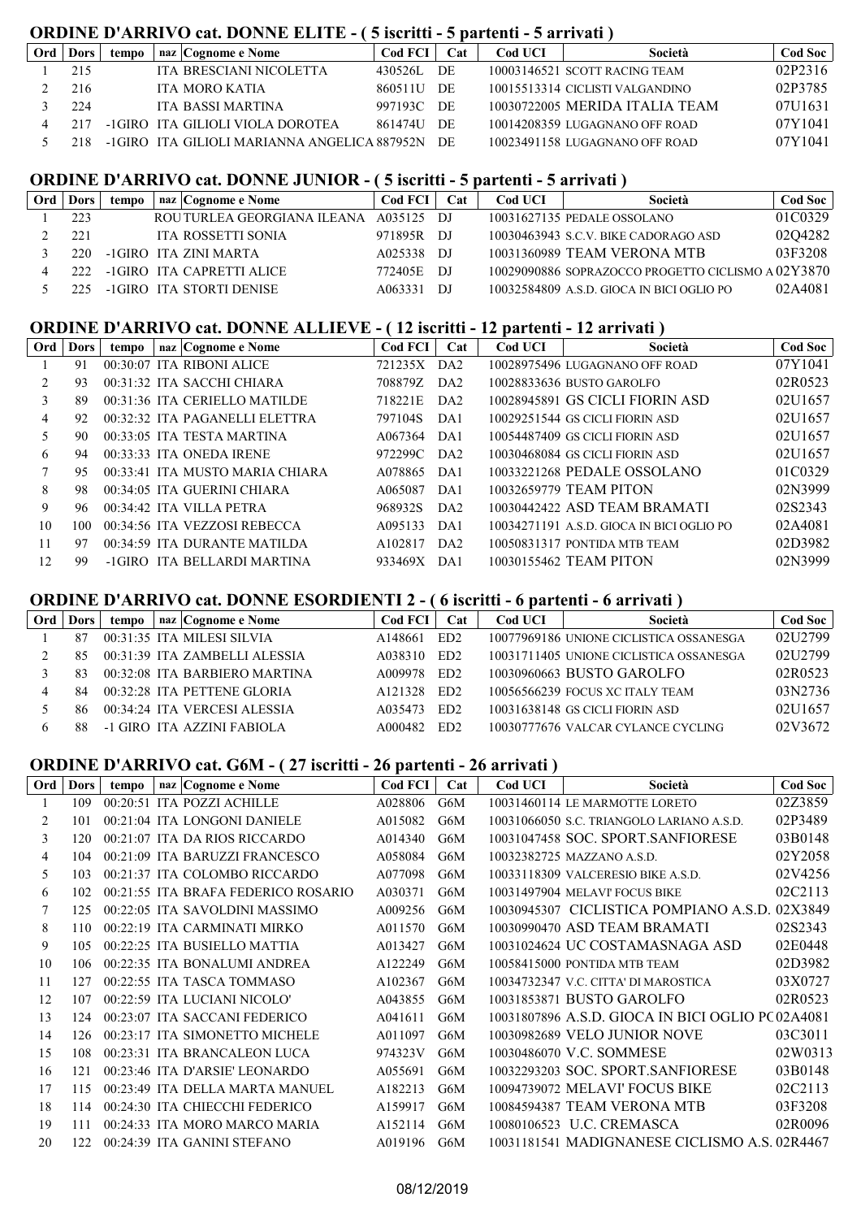### **ORDINE D'ARRIVO cat. DONNE ELITE - ( 5 iscritti - 5 partenti - 5 arrivati )**

| Ord | <b>Dors</b> | tempo | naz   Cognome e Nome                            | Cod FCI    | Cat | Cod UCI | Società                         | Cod Soc |
|-----|-------------|-------|-------------------------------------------------|------------|-----|---------|---------------------------------|---------|
|     | 215         |       | ITA BRESCIANI NICOLETTA                         | 430526L    | DE  |         | 10003146521 SCOTT RACING TEAM   | 02P2316 |
|     | 216         |       | <b>ITA MORO KATIA</b>                           | 860511U    | DE  |         | 10015513314 CICLISTI VALGANDINO | 02P3785 |
|     | 224         |       | ITA BASSI MARTINA                               | 997193C DE |     |         | 10030722005 MERIDA ITALIA TEAM  | 07U1631 |
|     | 217         |       | -1GIRO ITA GILIOLI VIOLA DOROTEA                | 861474U    | DE. |         | 10014208359 LUGAGNANO OFF ROAD  | 07Y1041 |
|     |             |       | -1GIRO ITA GILIOLI MARIANNA ANGELICA 887952N DE |            |     |         | 10023491158 LUGAGNANO OFF ROAD  | 07Y1041 |

#### **ORDINE D'ARRIVO cat. DONNE JUNIOR - ( 5 iscritti - 5 partenti - 5 arrivati )**

| Ord | Dors | tempo | naz   Cognome e Nome        | <b>Cod FCI</b> | Cat   | Cod UCI | Società                                            | <b>Cod Soc</b> |
|-----|------|-------|-----------------------------|----------------|-------|---------|----------------------------------------------------|----------------|
|     | 223  |       | ROU TURLEA GEORGIANA ILEANA | A035125 DJ     |       |         | 10031627135 PEDALE OSSOLANO                        | 01C0329        |
|     | 221  |       | <b>ITA ROSSETTI SONIA</b>   | 971895R DJ     |       |         | 10030463943 S.C.V. BIKE CADORAGO ASD               | 0204282        |
|     | 220. |       | -1GIRO ITA ZINI MARTA       | A025338        | - D.I |         | 10031360989 TEAM VERONA MTB                        | 03F3208        |
|     |      |       | -1GIRO ITA CAPRETTI ALICE   | 772405E        | - DJ  |         | 10029090886 SOPRAZOCCO PROGETTO CICLISMO A 02Y3870 |                |
|     |      |       | -1GIRO ITA STORTI DENISE    | A063331        | - D.I |         | 10032584809 A.S.D. GIOCA IN BICI OGLIO PO          | 02A4081        |

#### **ORDINE D'ARRIVO cat. DONNE ALLIEVE - ( 12 iscritti - 12 partenti - 12 arrivati )**

| Ord | Dors | tempo | naz Cognome e Nome              | <b>Cod FCI</b> | Cat             | Cod UCI | Società                                   | <b>Cod Soc</b> |
|-----|------|-------|---------------------------------|----------------|-----------------|---------|-------------------------------------------|----------------|
|     | 91   |       | 00:30:07 ITA RIBONI ALICE       | 721235X DA2    |                 |         | 10028975496 LUGAGNANO OFF ROAD            | 07Y1041        |
|     | 93   |       | 00:31:32 ITA SACCHI CHIARA      | 708879Z        | DA <sub>2</sub> |         | 10028833636 BUSTO GAROLFO                 | 02R0523        |
| 3   | 89   |       | 00:31:36 ITA CERIELLO MATILDE   | 718221E        | DA <sub>2</sub> |         | 10028945891 GS CICLI FIORIN ASD           | 02U1657        |
| 4   | 92   |       | 00:32:32 ITA PAGANELLI ELETTRA  | 797104S        | DA1             |         | 10029251544 GS CICLI FIORIN ASD           | 02U1657        |
| 5   | 90   |       | 00:33:05 ITA TESTA MARTINA      | A067364        | DA1             |         | 10054487409 GS CICLI FIORIN ASD           | 02U1657        |
| 6   | 94   |       | $00:33:33$ ITA ONEDA IRENE      | 972299C        | DA <sub>2</sub> |         | 10030468084 GS CICLI FIORIN ASD           | 02U1657        |
|     | 95   |       | 00:33:41 ITA MUSTO MARIA CHIARA | A078865        | DA1             |         | 10033221268 PEDALE OSSOLANO               | 01C0329        |
| 8   | 98   |       | 00:34:05 ITA GUERINI CHIARA     | A065087        | DA1             |         | 10032659779 TEAM PITON                    | 02N3999        |
| 9   | 96.  |       | $00:34:42$ ITA VILLA PETRA      | 968932S        | DA <sub>2</sub> |         | 10030442422 ASD TEAM BRAMATI              | 02S2343        |
| 10  | 100. |       | 00:34:56 ITA VEZZOSI REBECCA    | A095133        | DA1             |         | 10034271191 A.S.D. GIOCA IN BICI OGLIO PO | 02A4081        |
| 11  | 97   |       | 00:34:59 ITA DURANTE MATILDA    | A102817        | DA <sub>2</sub> |         | 10050831317 PONTIDA MTB TEAM              | 02D3982        |
| 12  | -99  |       | -1GIRO ITA BELLARDI MARTINA     | 933469X        | DA1             |         | 10030155462 TEAM PITON                    | 02N3999        |

## **ORDINE D'ARRIVO cat. DONNE ESORDIENTI 2 - ( 6 iscritti - 6 partenti - 6 arrivati )**

| Ord | Dors | tempo | naz Cognome e Nome            | Cod FCI             | Cat             | Cod UCI | Società                                 | Cod Soc |
|-----|------|-------|-------------------------------|---------------------|-----------------|---------|-----------------------------------------|---------|
|     | 87   |       | 00:31:35 ITA MILESI SILVIA    | A148661             | ED <sub>2</sub> |         | 10077969186 UNIONE CICLISTICA OSSANESGA | 02U2799 |
|     | 85   |       | 00:31:39 ITA ZAMBELLI ALESSIA | A038310             | ED <sub>2</sub> |         | 10031711405 UNIONE CICLISTICA OSSANESGA | 02U2799 |
|     | 83   |       | 00:32:08 ITA BARBIERO MARTINA | A009978             | ED <sub>2</sub> |         | 10030960663 BUSTO GAROLFO               | 02R0523 |
|     | 84   |       | 00:32:28 ITA PETTENE GLORIA   | A <sub>121328</sub> | ED <sub>2</sub> |         | 10056566239 FOCUS XC ITALY TEAM         | 03N2736 |
|     | 86   |       | 00:34:24 ITA VERCESI ALESSIA  | A035473             | ED <sub>2</sub> |         | 10031638148 GS CICLI FIORIN ASD         | 02U1657 |
|     | 88   |       | -1 GIRO ITA AZZINI FABIOLA    | A000482             | ED <sub>2</sub> |         | 10030777676 VALCAR CYLANCE CYCLING      | 02V3672 |
|     |      |       |                               |                     |                 |         |                                         |         |

## **ORDINE D'ARRIVO cat. G6M - ( 27 iscritti - 26 partenti - 26 arrivati )**

| Ord | Dors | tempo | naz Cognome e Nome                  | <b>Cod FCI</b> | Cat | Cod UCI | Società                                           | <b>Cod Soc</b> |
|-----|------|-------|-------------------------------------|----------------|-----|---------|---------------------------------------------------|----------------|
|     | 109  |       | 00:20:51 ITA POZZI ACHILLE          | A028806        | G6M |         | 10031460114 LE MARMOTTE LORETO                    | 02Z3859        |
| 2   | 101  |       | 00:21:04 ITA LONGONI DANIELE        | A015082        | G6M |         | 10031066050 S.C. TRIANGOLO LARIANO A.S.D.         | 02P3489        |
| 3   | 120  |       | 00:21:07 ITA DA RIOS RICCARDO       | A014340        | G6M |         | 10031047458 SOC. SPORT.SANFIORESE                 | 03B0148        |
| 4   | 104  |       | 00:21:09 ITA BARUZZI FRANCESCO      | A058084        | G6M |         | 10032382725 MAZZANO A.S.D.                        | 02Y2058        |
| 5   | 103  |       | 00:21:37 ITA COLOMBO RICCARDO       | A077098        | G6M |         | 10033118309 VALCERESIO BIKE A.S.D.                | 02V4256        |
| 6   | 102  |       | 00:21:55 ITA BRAFA FEDERICO ROSARIO | A030371        | G6M |         | 10031497904 MELAVI FOCUS BIKE                     | 02C2113        |
| 7   | 125  |       | 00:22:05 ITA SAVOLDINI MASSIMO      | A009256        | G6M |         | 10030945307 CICLISTICA POMPIANO A.S.D.            | 02X3849        |
| 8   | 110  |       | 00:22:19 ITA CARMINATI MIRKO        | A011570        | G6M |         | 10030990470 ASD TEAM BRAMATI                      | 02S2343        |
| 9   | 105  |       | 00:22:25 ITA BUSIELLO MATTIA        | A013427        | G6M |         | 10031024624 UC COSTAMASNAGA ASD                   | 02E0448        |
| 10  | 106  |       | 00:22:35 ITA BONALUMI ANDREA        | A122249        | G6M |         | 10058415000 PONTIDA MTB TEAM                      | 02D3982        |
| 11  | 127  |       | 00:22:55 ITA TASCA TOMMASO          | A102367        | G6M |         | 10034732347 V.C. CITTA' DI MAROSTICA              | 03X0727        |
| 12  | 107  |       | 00:22:59 ITA LUCIANI NICOLO'        | A043855        | G6M |         | 10031853871 BUSTO GAROLFO                         | 02R0523        |
| 13  | 124  |       | 00:23:07 ITA SACCANI FEDERICO       | A041611        | G6M |         | 10031807896 A.S.D. GIOCA IN BICI OGLIO PC 02A4081 |                |
| 14  | 126  |       | 00:23:17 ITA SIMONETTO MICHELE      | A011097        | G6M |         | 10030982689 VELO JUNIOR NOVE                      | 03C3011        |
| 15  | 108  |       | 00:23:31 ITA BRANCALEON LUCA        | 974323V        | G6M |         | 10030486070 V.C. SOMMESE                          | 02W0313        |
| 16  | 121  |       | 00:23:46 ITA D'ARSIE' LEONARDO      | A055691        | G6M |         | 10032293203 SOC. SPORT.SANFIORESE                 | 03B0148        |
| 17  | 115  |       | 00:23:49 ITA DELLA MARTA MANUEL     | A182213        | G6M |         | 10094739072 MELAVI' FOCUS BIKE                    | 02C2113        |
| 18  | 114  |       | 00:24:30 ITA CHIECCHI FEDERICO      | A159917        | G6M |         | 10084594387 TEAM VERONA MTB                       | 03F3208        |
| 19  | 111  |       | 00:24:33 ITA MORO MARCO MARIA       | A152114        | G6M |         | 10080106523 U.C. CREMASCA                         | 02R0096        |
| 20  | 122  |       | 00:24:39 ITA GANINI STEFANO         | A019196        | G6M |         | 10031181541 MADIGNANESE CICLISMO A.S. 02R4467     |                |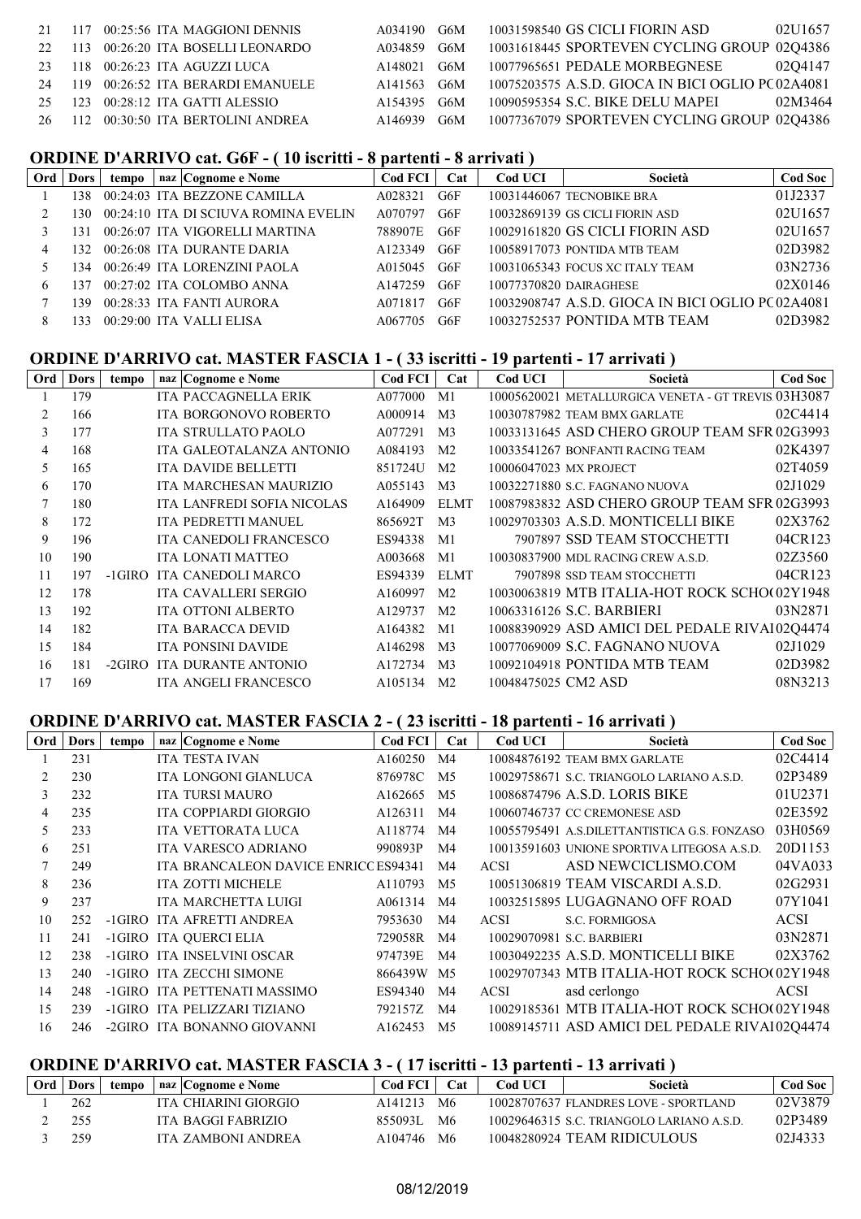|    | 21 117 00:25:56 ITA MAGGIONI DENNIS  | A034190 G6M |     | 10031598540 GS CICLI FIORIN ASD<br>02U1657        |
|----|--------------------------------------|-------------|-----|---------------------------------------------------|
|    | 22 113 00:26:20 ITA BOSELLI LEONARDO | A034859 G6M |     | 10031618445 SPORTEVEN CYCLING GROUP 02Q4386       |
|    | 23 118 00:26:23 ITA AGUZZI LUCA      | A148021     | G6M | 10077965651 PEDALE MORBEGNESE<br>0204147          |
|    | 24 119 00:26:52 ITA BERARDI EMANUELE | A141563 G6M |     | 10075203575 A.S.D. GIOCA IN BICI OGLIO PC 02A4081 |
| 25 | $123$ 00:28:12 ITA GATTI ALESSIO     | A154395 G6M |     | 10090595354 S.C. BIKE DELU MAPEI<br>02M3464       |
|    | 26 112 00:30:50 ITA BERTOLINI ANDREA | A146939 G6M |     | 10077367079 SPORTEVEN CYCLING GROUP 02Q4386       |
|    |                                      |             |     |                                                   |

#### **ORDINE D'ARRIVO cat. G6F - ( 10 iscritti - 8 partenti - 8 arrivati )**

| Ord | Dors | tempo | naz Cognome e Nome                   | $\text{Cod}$ FCI | Cat | Cod UCI | Società                                           | <b>Cod Soc</b> |
|-----|------|-------|--------------------------------------|------------------|-----|---------|---------------------------------------------------|----------------|
|     | 138  |       | 00:24:03 ITA BEZZONE CAMILLA         | A028321          | G6F |         | 10031446067 TECNOBIKE BRA                         | 01J2337        |
|     | 130. |       | 00:24:10 ITA DI SCIUVA ROMINA EVELIN | A070797          | G6F |         | 10032869139 GS CICLI FIORIN ASD                   | 02U1657        |
|     | 131  |       | 00:26:07 ITA VIGORELLI MARTINA       | 788907E          | G6F |         | 10029161820 GS CICLI FIORIN ASD                   | 02U1657        |
| 4   | 132. |       | 00:26:08 ITA DURANTE DARIA           | A123349 G6F      |     |         | 10058917073 PONTIDA MTB TEAM                      | 02D3982        |
|     | 134. |       | 00:26:49 ITA LORENZINI PAOLA         | A015045          | G6F |         | 10031065343 FOCUS XC ITALY TEAM                   | 03N2736        |
| 6   | 137  |       | 00:27:02 ITA COLOMBO ANNA            | A147259          | G6F |         | 10077370820 DAIRAGHESE                            | 02X0146        |
|     | 139. |       | 00:28:33 ITA FANTI AURORA            | A071817          | G6F |         | 10032908747 A.S.D. GIOCA IN BICI OGLIO PC 02A4081 |                |
|     | 133  |       | 00:29:00 ITA VALLI ELISA             | A067705          | G6F |         | 10032752537 PONTIDA MTB TEAM                      | 02D3982        |

## **ORDINE D'ARRIVO cat. MASTER FASCIA 1 - ( 33 iscritti - 19 partenti - 17 arrivati )**

| Ord | Dors | tempo | naz   Cognome e Nome        | <b>Cod FCI</b> | Cat            | <b>Cod UCI</b>      | Società                                             | Cod Soc |
|-----|------|-------|-----------------------------|----------------|----------------|---------------------|-----------------------------------------------------|---------|
|     | 179  |       | <b>ITA PACCAGNELLA ERIK</b> | A077000        | M1             |                     | 10005620021 METALLURGICA VENETA - GT TREVIS 03H3087 |         |
| 2   | 166  |       | ITA BORGONOVO ROBERTO       | A000914        | M <sub>3</sub> |                     | 10030787982 TEAM BMX GARLATE                        | 02C4414 |
| 3   | 177  |       | <b>ITA STRULLATO PAOLO</b>  | A077291        | M <sub>3</sub> |                     | 10033131645 ASD CHERO GROUP TEAM SFR 02G3993        |         |
| 4   | 168  |       | ITA GALEOTALANZA ANTONIO    | A084193        | M <sub>2</sub> |                     | 10033541267 BONFANTI RACING TEAM                    | 02K4397 |
| 5   | 165  |       | <b>ITA DAVIDE BELLETTI</b>  | 851724U        | M <sub>2</sub> |                     | 10006047023 MX PROJECT                              | 02T4059 |
| 6   | 170  |       | ITA MARCHESAN MAURIZIO      | A055143        | M <sub>3</sub> |                     | 10032271880 S.C. FAGNANO NUOVA                      | 02J1029 |
|     | 180  |       | ITA LANFREDI SOFIA NICOLAS  | A164909        | <b>ELMT</b>    |                     | 10087983832 ASD CHERO GROUP TEAM SFR 02G3993        |         |
| 8   | 172  |       | ITA PEDRETTI MANUEL         | 865692T        | M <sub>3</sub> |                     | 10029703303 A.S.D. MONTICELLI BIKE                  | 02X3762 |
| 9   | 196  |       | ITA CANEDOLI FRANCESCO      | ES94338        | M1             |                     | 7907897 SSD TEAM STOCCHETTI                         | 04CR123 |
| 10  | 190  |       | ITA LONATI MATTEO           | A003668        | M1             |                     | 10030837900 MDL RACING CREW A.S.D.                  | 02Z3560 |
| 11  | 197  |       | -1GIRO ITA CANEDOLI MARCO   | ES94339        | <b>ELMT</b>    |                     | 7907898 SSD TEAM STOCCHETTI                         | 04CR123 |
| 12  | 178  |       | ITA CAVALLERI SERGIO        | A160997        | M <sub>2</sub> |                     | 10030063819 MTB ITALIA-HOT ROCK SCHO(02Y1948        |         |
| 13  | 192  |       | <b>ITA OTTONI ALBERTO</b>   | A129737        | M <sub>2</sub> |                     | 10063316126 S.C. BARBIERI                           | 03N2871 |
| 14  | 182  |       | <b>ITA BARACCA DEVID</b>    | A164382        | M <sub>1</sub> |                     | 10088390929 ASD AMICI DEL PEDALE RIVA102Q4474       |         |
| 15  | 184  |       | <b>ITA PONSINI DAVIDE</b>   | A146298        | M <sub>3</sub> |                     | 10077069009 S.C. FAGNANO NUOVA                      | 02J1029 |
| 16  | 181  |       | -2GIRO ITA DURANTE ANTONIO  | A172734        | M <sub>3</sub> |                     | 10092104918 PONTIDA MTB TEAM                        | 02D3982 |
| 17  | 169  |       | <b>ITA ANGELI FRANCESCO</b> | A105134        | M <sub>2</sub> | 10048475025 CM2 ASD |                                                     | 08N3213 |

#### **ORDINE D'ARRIVO cat. MASTER FASCIA 2 - ( 23 iscritti - 18 partenti - 16 arrivati )**

| Ord | <b>Dors</b> | tempo | naz Cognome e Nome                   | Cod FCI    | Cat            | Cod UCI     | Società                                       | Cod Soc     |
|-----|-------------|-------|--------------------------------------|------------|----------------|-------------|-----------------------------------------------|-------------|
|     | 231         |       | <b>ITA TESTA IVAN</b>                | A160250    | M <sub>4</sub> |             | 10084876192 TEAM BMX GARLATE                  | 02C4414     |
|     | 230         |       | ITA LONGONI GIANLUCA                 | 876978C    | M <sub>5</sub> |             | 10029758671 S.C. TRIANGOLO LARIANO A.S.D.     | 02P3489     |
| 3   | 232         |       | <b>ITA TURSI MAURO</b>               | A162665    | M <sub>5</sub> |             | 10086874796 A.S.D. LORIS BIKE                 | 01U2371     |
| 4   | 235         |       | ITA COPPIARDI GIORGIO                | A126311    | M4             |             | 10060746737 CC CREMONESE ASD                  | 02E3592     |
| 5   | 233         |       | <b>ITA VETTORATA LUCA</b>            | A118774    | M4             |             | 10055795491 A.S.DILETTANTISTICA G.S. FONZASO  | 03H0569     |
| 6   | 251         |       | <b>ITA VARESCO ADRIANO</b>           | 990893P    | M4             |             | 10013591603 UNIONE SPORTIVA LITEGOSA A.S.D.   | 20D1153     |
|     | 249         |       | ITA BRANCALEON DAVICE ENRICC ES94341 |            | M <sub>4</sub> | <b>ACSI</b> | ASD NEWCICLISMO.COM                           | 04VA033     |
| 8   | 236         |       | <b>ITA ZOTTI MICHELE</b>             | A110793    | M <sub>5</sub> |             | 10051306819 TEAM VISCARDI A.S.D.              | 02G2931     |
| 9   | 237         |       | ITA MARCHETTA LUIGI                  | A061314    | M4             |             | 10032515895 LUGAGNANO OFF ROAD                | 07Y1041     |
| 10  | 252         |       | -1GIRO ITA AFRETTI ANDREA            | 7953630    | M4             | <b>ACSI</b> | S.C. FORMIGOSA                                | <b>ACSI</b> |
| 11  | 241         |       | -1GIRO ITA QUERCI ELIA               | 729058R    | M4             |             | 10029070981 S.C. BARBIERI                     | 03N2871     |
| 12  | 238         |       | -1GIRO ITA INSELVINI OSCAR           | 974739E    | M <sub>4</sub> |             | 10030492235 A.S.D. MONTICELLI BIKE            | 02X3762     |
| 13  | 240         |       | -1GIRO ITA ZECCHI SIMONE             | 866439W M5 |                |             | 10029707343 MTB ITALIA-HOT ROCK SCHO(02Y1948  |             |
| 14  | 248         |       | -1GIRO ITA PETTENATI MASSIMO         | ES94340    | M4             | <b>ACSI</b> | asd cerlongo                                  | <b>ACSI</b> |
| 15  | 239         |       | -1GIRO ITA PELIZZARI TIZIANO         | 792157Z    | M <sub>4</sub> |             | 10029185361 MTB ITALIA-HOT ROCK SCHO(02Y1948  |             |
| 16  | 246         |       | -2GIRO ITA BONANNO GIOVANNI          | A162453    | M5             |             | 10089145711 ASD AMICI DEL PEDALE RIVA 0204474 |             |

# **ORDINE D'ARRIVO cat. MASTER FASCIA 3 - (17 iscritti - 13 partenti - 13 arrivati)**<br>  $\boxed{Ord | Dors |$  tempo  $\boxed{naz | Cognome e \text{ None}}$

| Ord Dors | tempo | naz   Cognome e Nome | Cod FCI | $\mathbf{Cat}$ | Cod UCI | Società                                   | Cod Soc |
|----------|-------|----------------------|---------|----------------|---------|-------------------------------------------|---------|
| 262      |       | ITA CHIARINI GIORGIO | A141213 | - M6           |         | 10028707637 FLANDRES LOVE - SPORTLAND     | 02V3879 |
| 255      |       | ITA BAGGI FABRIZIO   | 855093L | - M6           |         | 10029646315 S.C. TRIANGOLO LARIANO A.S.D. | 02P3489 |
| 259      |       | ITA ZAMBONI ANDREA   | A104746 | M6             |         | 10048280924 TEAM RIDICULOUS               | 02J4333 |